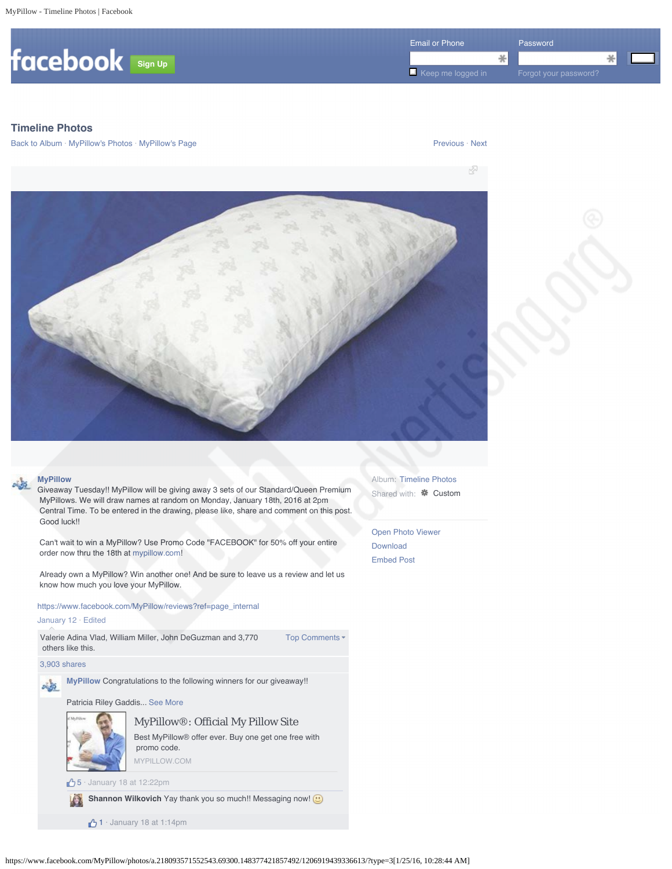

# **Timeline Photos**

Back to Album · MyPillow's Photos · MyPillow's Page Previous · Next Previous · Next





Giveaway Tuesday!! MyPillow will be giving away 3 sets of our Standard/Queen Premium MyPillows. We will draw names at random on Monday, January 18th, 2016 at 2pm Central Time. To be entered in the drawing, please like, share and comment on this post. Good luck!!

 Can't wait to win a MyPillow? Use Promo Code "FACEBOOK" for 50% off your entire order now thru the 18th at mypillow.com!

 Already own a MyPillow? Win another one! And be sure to leave us a review and let us know how much you love your MyPillow.

https://www.facebook.com/MyPillow/reviews?ref=page\_internal

### January 12 · Edited

Top Comments -Valerie Adina Vlad, William Miller, John DeGuzman and 3,770 others like this.

3,903 shares

**MyPillow** Congratulations to the following winners for our giveaway!! 鸣

Patricia Riley Gaddis... See More



MyPillow®: Official My Pillow Site Best MyPillow® offer ever. Buy one get one free with promo code.

MYPILLOW.COM

**5** · January 18 at 12:22pm

Shannon Wilkovich Yay thank you so much!! Messaging now! **@** 

 $1 ·$  January 18 at 1:14pm

Album: Timeline Photos Shared with: **\*** Custom

Open Photo Viewer Download Embed Post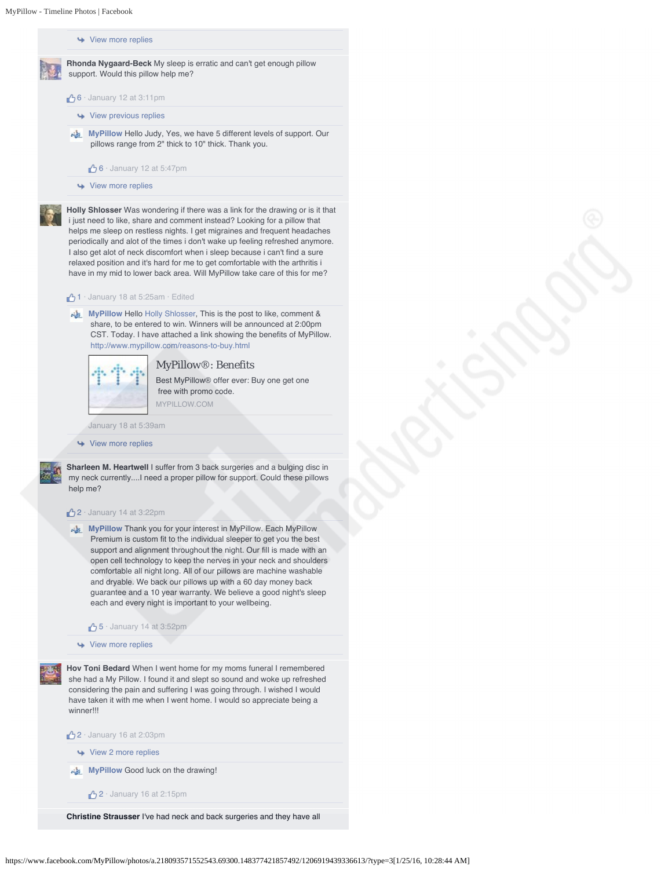**↓** View more replies



- $6 \cdot$  January 12 at 3:11pm
	- View previous replies
- **MyPillow Hello Judy, Yes, we have 5 different levels of support. Our**  pillows range from 2" thick to 10" thick. Thank you.
	- $\bigcirc$  6 · January 12 at 5:47pm
- **→** View more replies

**Holly Shlosser** Was wondering if there was a link for the drawing or is it that i just need to like, share and comment instead? Looking for a pillow that helps me sleep on restless nights. I get migraines and frequent headaches periodically and alot of the times i don't wake up feeling refreshed anymore. I also get alot of neck discomfort when i sleep because i can't find a sure relaxed position and it's hard for me to get comfortable with the arthritis i have in my mid to lower back area. Will MyPillow take care of this for me?

#### $\bigoplus$  1 · January 18 at 5:25am · Edited

MyPillow Hello Holly Shlosser, This is the post to like, comment & share, to be entered to win. Winners will be announced at 2:00pm CST. Today. I have attached a link showing the benefits of MyPillow. http://www.mypillow.com/reasons-to-buy.html



MyPillow®: Benefits

Best MyPillow® offer ever: Buy one get one free with promo code. MYPILLOW.COM

January 18 at 5:39am

**→** View more replies

**Sharleen M. Heartwell** I suffer from 3 back surgeries and a bulging disc in my neck currently....I need a proper pillow for support. Could these pillows help me?

#### $2 \cdot$  January 14 at 3:22pm

- **MyPillow Thank you for your interest in MyPillow. Each MyPillow**  Premium is custom fit to the individual sleeper to get you the best support and alignment throughout the night. Our fill is made with an open cell technology to keep the nerves in your neck and shoulders comfortable all night long. All of our pillows are machine washable and dryable. We back our pillows up with a 60 day money back guarantee and a 10 year warranty. We believe a good night's sleep each and every night is important to your wellbeing.
	- $\bigcirc$  5 · January 14 at 3:52pm

**↓** View more replies

**Hov Toni Bedard** When I went home for my moms funeral I remembered she had a My Pillow. I found it and slept so sound and woke up refreshed considering the pain and suffering I was going through. I wished I would have taken it with me when I went home. I would so appreciate being a winner!!!

2 · January 16 at 2:03pm

View 2 more replies

**MyPillow** Good luck on the drawing!

 $\bigwedge$  2 · January 16 at 2:15pm

**Christine Strausser** I've had neck and back surgeries and they have all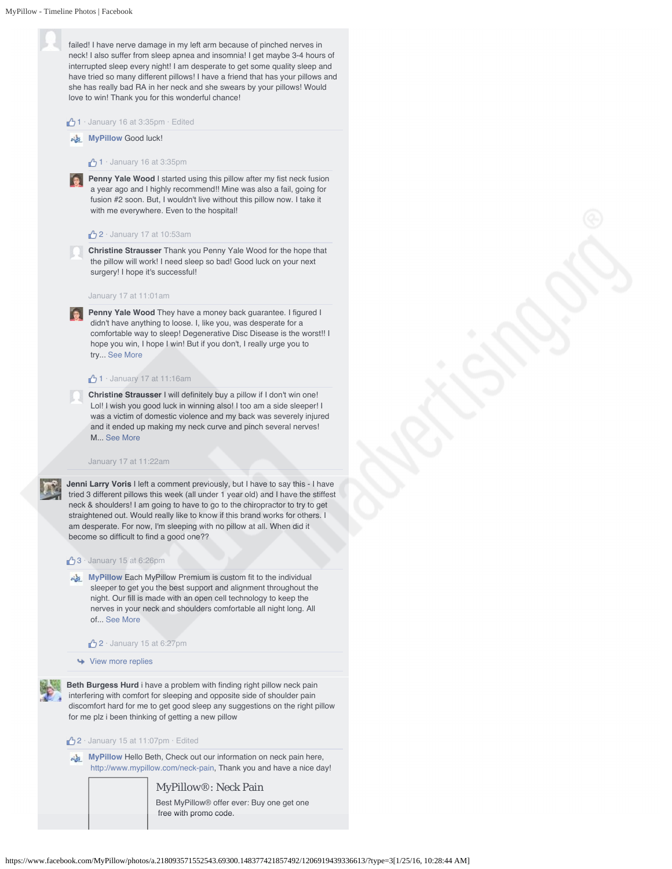failed! I have nerve damage in my left arm because of pinched nerves in neck! I also suffer from sleep apnea and insomnia! I get maybe 3-4 hours of interrupted sleep every night! I am desperate to get some quality sleep and have tried so many different pillows! I have a friend that has your pillows and she has really bad RA in her neck and she swears by your pillows! Would love to win! Thank you for this wonderful chance!

#### $\bigwedge$  1 · January 16 at 3:35pm · Edited

#### **MyPillow Good luck!**

#### $1 \cdot$  January 16 at 3:35pm

**Penny Yale Wood** I started using this pillow after my fist neck fusion a year ago and I highly recommend!! Mine was also a fail, going for fusion #2 soon. But, I wouldn't live without this pillow now. I take it with me everywhere. Even to the hospital!

#### $2 \cdot$  January 17 at 10:53am

**Christine Strausser** Thank you Penny Yale Wood for the hope that the pillow will work! I need sleep so bad! Good luck on your next surgery! I hope it's successful!

### January 17 at 11:01am

**Penny Yale Wood** They have a money back guarantee. I figured I didn't have anything to loose. I, like you, was desperate for a comfortable way to sleep! Degenerative Disc Disease is the worst!! I hope you win, I hope I win! But if you don't, I really urge you to try... See More

#### $1 \cdot$  January 17 at 11:16am

**Christine Strausser** I will definitely buy a pillow if I don't win one! Lol! I wish you good luck in winning also! I too am a side sleeper! I was a victim of domestic violence and my back was severely injured and it ended up making my neck curve and pinch several nerves! M... See More

#### January 17 at 11:22am

**Jenni Larry Voris** I left a comment previously, but I have to say this - I have tried 3 different pillows this week (all under 1 year old) and I have the stiffest neck & shoulders! I am going to have to go to the chiropractor to try to get straightened out. Would really like to know if this brand works for others. I am desperate. For now, I'm sleeping with no pillow at all. When did it become so difficult to find a good one??

#### $3 \cdot$  January 15 at 6:26pm

**MyPillow Each MyPillow Premium is custom fit to the individual**  sleeper to get you the best support and alignment throughout the night. Our fill is made with an open cell technology to keep the nerves in your neck and shoulders comfortable all night long. All of... See More

 $\sqrt{2}$  · January 15 at 6:27pm

#### Wiew more replies

**Beth Burgess Hurd** i have a problem with finding right pillow neck pain interfering with comfort for sleeping and opposite side of shoulder pain discomfort hard for me to get good sleep any suggestions on the right pillow for me plz i been thinking of getting a new pillow

#### 2 · January 15 at 11:07pm · Edited

**MyPillow Hello Beth, Check out our information on neck pain here,** http://www.mypillow.com/neck-pain, Thank you and have a nice day!

> MyPillow®: Neck Pain Best MyPillow® offer ever: Buy one get one free with promo code.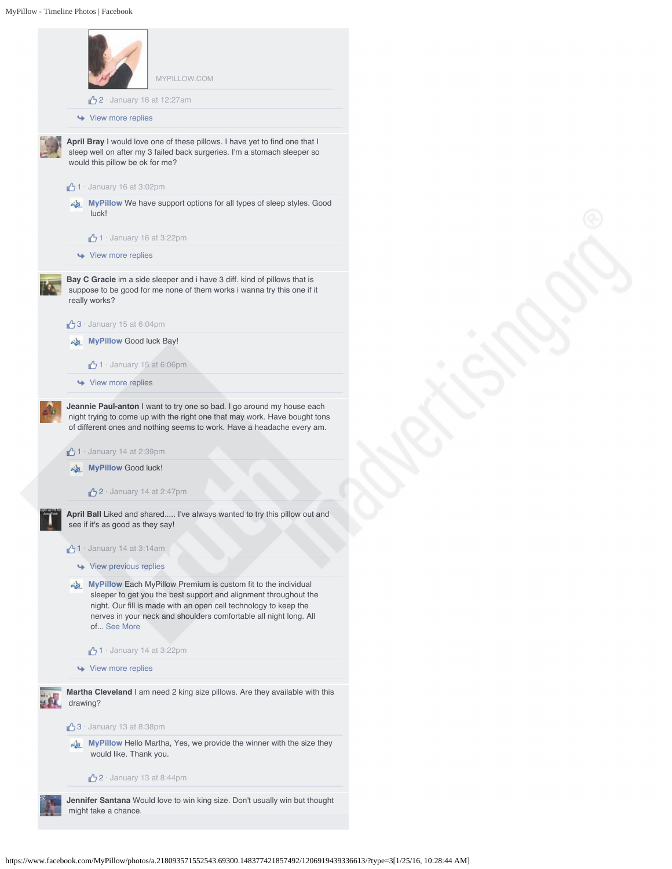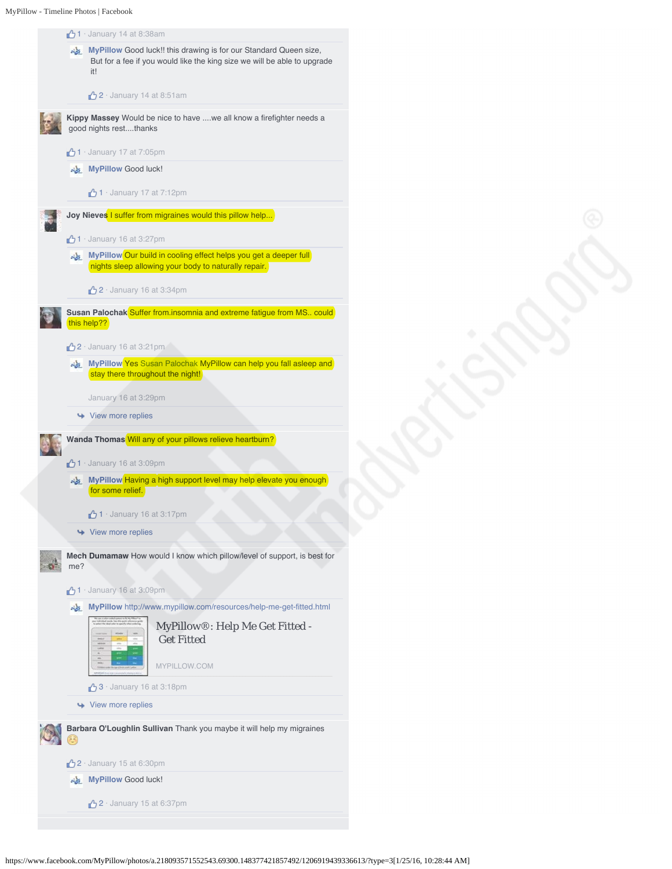

https://www.facebook.com/MyPillow/photos/a.218093571552543.69300.148377421857492/1206919439336613/?type=3[1/25/16, 10:28:44 AM]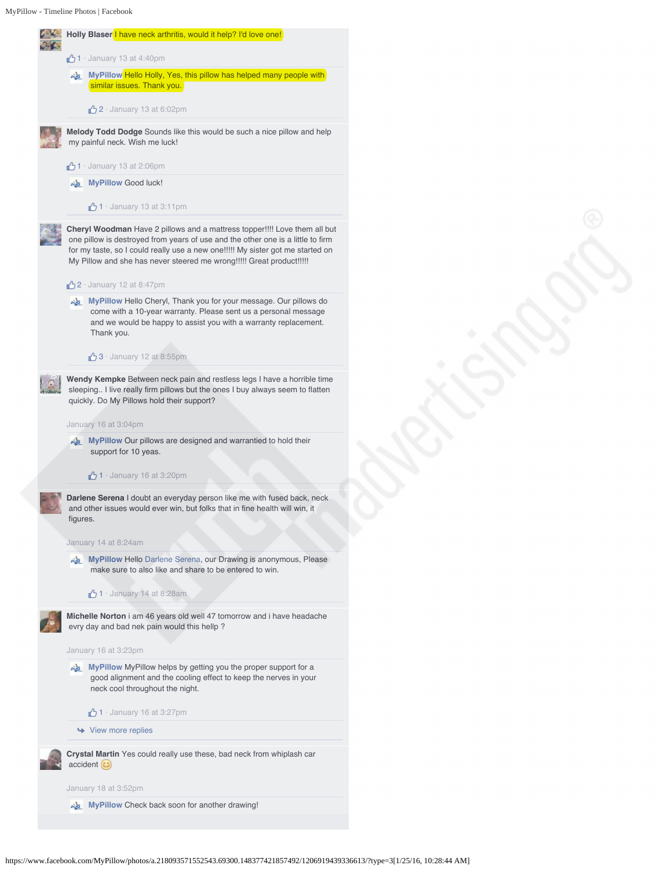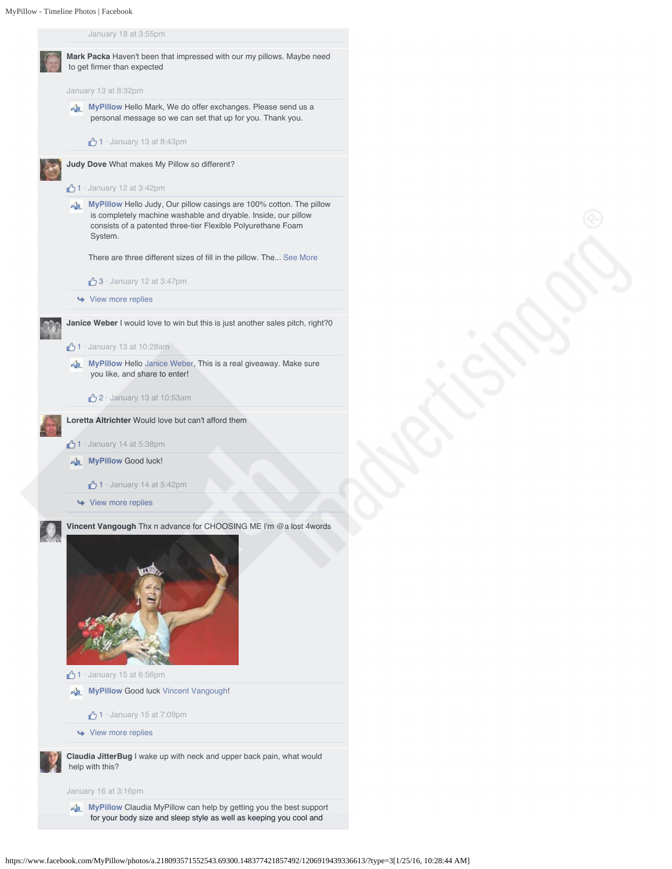January 18 at 3:55pm



https://www.facebook.com/MyPillow/photos/a.218093571552543.69300.148377421857492/1206919439336613/?type=3[1/25/16, 10:28:44 AM]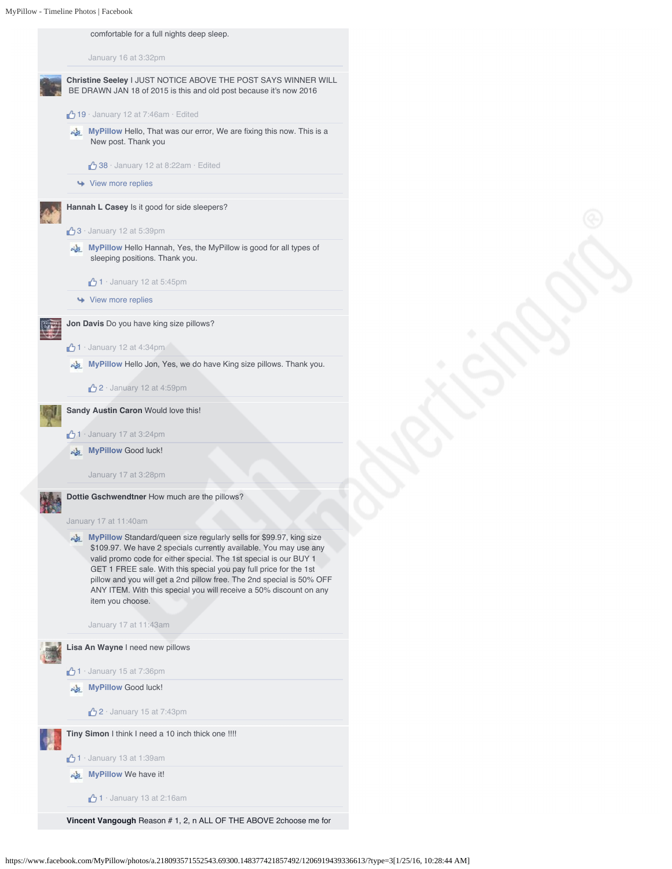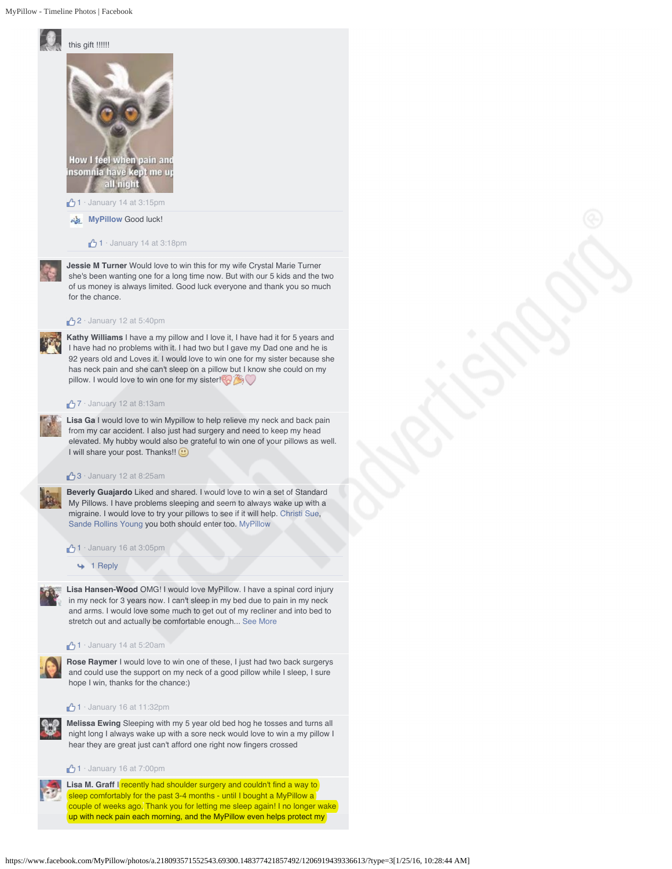

 $1 \cdot$  January 14 at 3:18pm

**Jessie M Turner** Would love to win this for my wife Crystal Marie Turner she's been wanting one for a long time now. But with our 5 kids and the two of us money is always limited. Good luck everyone and thank you so much for the chance.

#### $2 \cdot$  January 12 at 5:40pm

**Kathy Williams** I have a my pillow and I love it, I have had it for 5 years and I have had no problems with it. I had two but I gave my Dad one and he is 92 years old and Loves it. I would love to win one for my sister because she has neck pain and she can't sleep on a pillow but I know she could on my pillow. I would love to win one for my sister!

### 7 · January 12 at 8:13am

**Lisa Ga** I would love to win Mypillow to help relieve my neck and back pain from my car accident. I also just had surgery and need to keep my head elevated. My hubby would also be grateful to win one of your pillows as well. I will share your post. Thanks!! @

#### $\bigcirc$  3 · January 12 at 8:25am

**Beverly Guajardo** Liked and shared. I would love to win a set of Standard My Pillows. I have problems sleeping and seem to always wake up with a migraine. I would love to try your pillows to see if it will help. Christi Sue, Sande Rollins Young you both should enter too. MyPillow

 $1 \cdot$  January 16 at 3:05pm

 $+ 1$  Reply

**Lisa Hansen-Wood** OMG! I would love MyPillow. I have a spinal cord injury in my neck for 3 years now. I can't sleep in my bed due to pain in my neck and arms. I would love some much to get out of my recliner and into bed to stretch out and actually be comfortable enough... See More

#### $\bigoplus$  1 · January 14 at 5:20am

**Rose Raymer** I would love to win one of these, I just had two back surgerys and could use the support on my neck of a good pillow while I sleep, I sure hope I win, thanks for the chance:)

#### $1 \cdot$  January 16 at 11:32pm



**Melissa Ewing** Sleeping with my 5 year old bed hog he tosses and turns all night long I always wake up with a sore neck would love to win a my pillow I hear they are great just can't afford one right now fingers crossed

 $1 \cdot$  January 16 at 7:00pm

Lisa M. Graff I recently had shoulder surgery and couldn't find a way to sleep comfortably for the past 3-4 months - until I bought a MyPillow a couple of weeks ago. Thank you for letting me sleep again! I no longer wake up with neck pain each morning, and the MyPillow even helps protect my